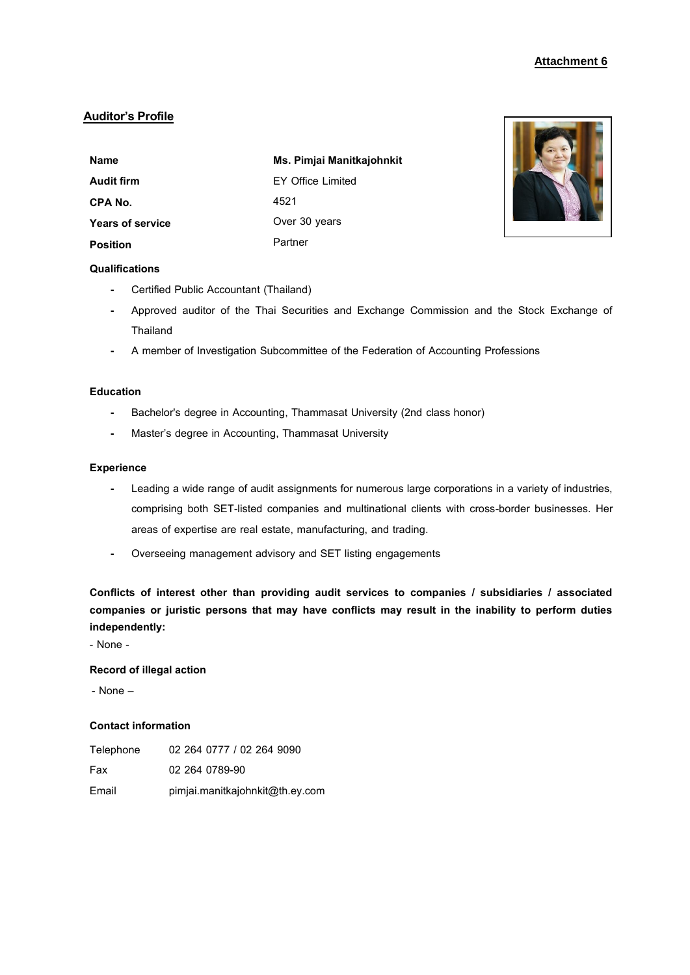# **Auditor's Profile**

| Name                    | Ms. Pimjai Manitkajohnkit |
|-------------------------|---------------------------|
| Audit firm              | EY Office Limited         |
| CPA No.                 | 4521                      |
| <b>Years of service</b> | Over 30 years             |
| Position                | Partner                   |



## **Qualifications**

- **-** Certified Public Accountant (Thailand)
- **-** Approved auditor of the Thai Securities and Exchange Commission and the Stock Exchange of **Thailand**
- **-** A member of Investigation Subcommittee of the Federation of Accounting Professions

# **Education**

- **-** Bachelor's degree in Accounting, Thammasat University (2nd class honor)
- **-** Master's degree in Accounting, Thammasat University

## **Experience**

- **-** Leading a wide range of audit assignments for numerous large corporations in a variety of industries, comprising both SET-listed companies and multinational clients with cross-border businesses. Her areas of expertise are real estate, manufacturing, and trading.
- **-** Overseeing management advisory and SET listing engagements

**Conflicts of interest other than providing audit services to companies / subsidiaries / associated companies or juristic persons that may have conflicts may result in the inability to perform duties independently:**

- None -

# **Record of illegal action**

- None –

| Telephone | 02 264 0777 / 02 264 9090       |
|-----------|---------------------------------|
| Fax       | 02 264 0789-90                  |
| Email     | pimjai.manitkajohnkit@th.ey.com |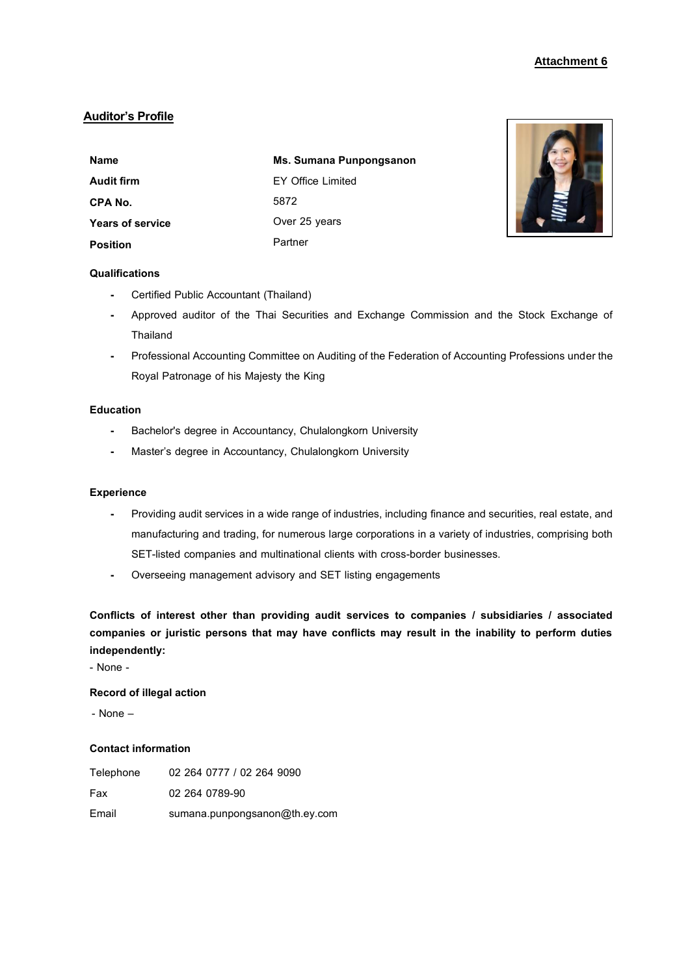# **Auditor's Profile**

| <b>Name</b>             | Ms. Sumana Punpongsanon |
|-------------------------|-------------------------|
| Audit firm              | EY Office Limited       |
| CPA No.                 | 5872                    |
| <b>Years of service</b> | Over 25 years           |
| <b>Position</b>         | Partner                 |



# **Qualifications**

- **-** Certified Public Accountant (Thailand)
- **-** Approved auditor of the Thai Securities and Exchange Commission and the Stock Exchange of **Thailand**
- **-** Professional Accounting Committee on Auditing of the Federation of Accounting Professions under the Royal Patronage of his Majesty the King

### **Education**

- **-** Bachelor's degree in Accountancy, Chulalongkorn University
- **-** Master's degree in Accountancy, Chulalongkorn University

### **Experience**

- **-** Providing audit services in a wide range of industries, including finance and securities, real estate, and manufacturing and trading, for numerous large corporations in a variety of industries, comprising both SET-listed companies and multinational clients with cross-border businesses.
- **-** Overseeing management advisory and SET listing engagements

**Conflicts of interest other than providing audit services to companies / subsidiaries / associated companies or juristic persons that may have conflicts may result in the inability to perform duties independently:**

- None -

## **Record of illegal action**

- None –

| Telephone | 02 264 0777 / 02 264 9090     |
|-----------|-------------------------------|
| Fax       | 02 264 0789-90                |
| Email     | sumana.punpongsanon@th.ey.com |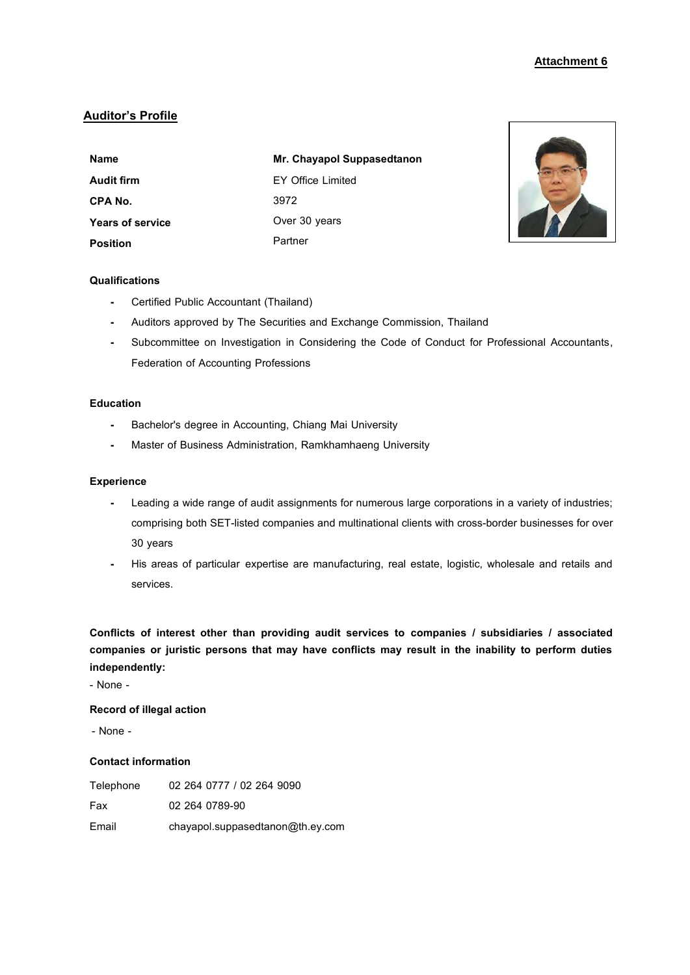# **Auditor's Profile**

| <b>Name</b>             | Mr. Chayapol Suppasedtanon |
|-------------------------|----------------------------|
| Audit firm              | <b>EY Office Limited</b>   |
| CPA No.                 | 3972                       |
| <b>Years of service</b> | Over 30 years              |
| <b>Position</b>         | Partner                    |



## **Qualifications**

- **-** Certified Public Accountant (Thailand)
- **-** Auditors approved by The Securities and Exchange Commission, Thailand
- **-** Subcommittee on Investigation in Considering the Code of Conduct for Professional Accountants, Federation of Accounting Professions

### **Education**

- **-** Bachelor's degree in Accounting, Chiang Mai University
- **-** Master of Business Administration, Ramkhamhaeng University

### **Experience**

- **-** Leading a wide range of audit assignments for numerous large corporations in a variety of industries; comprising both SET-listed companies and multinational clients with cross-border businesses for over 30 years
- **-** His areas of particular expertise are manufacturing, real estate, logistic, wholesale and retails and services.

**Conflicts of interest other than providing audit services to companies / subsidiaries / associated companies or juristic persons that may have conflicts may result in the inability to perform duties independently:**

- None -

## **Record of illegal action**

- None -

| Telephone | 02 264 0777 / 02 264 9090        |
|-----------|----------------------------------|
| Fax       | 02 264 0789-90                   |
| Email     | chayapol.suppasedtanon@th.ey.com |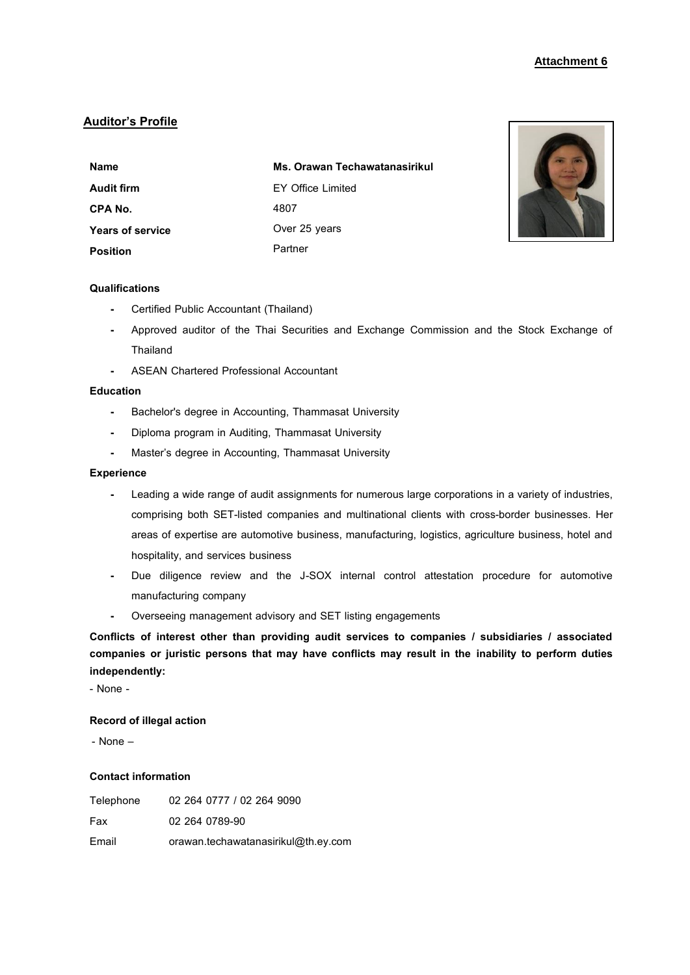# **Auditor's Profile**

| <b>Name</b>             | Ms. Orawan Techawatanasirikul |
|-------------------------|-------------------------------|
| <b>Audit firm</b>       | EY Office Limited             |
| CPA No.                 | 4807                          |
| <b>Years of service</b> | Over 25 years                 |
| <b>Position</b>         | Partner                       |



# **Qualifications**

- **-** Certified Public Accountant (Thailand)
- **-** Approved auditor of the Thai Securities and Exchange Commission and the Stock Exchange of Thailand
- **-** ASEAN Chartered Professional Accountant

### **Education**

- **-** Bachelor's degree in Accounting, Thammasat University
- **-** Diploma program in Auditing, Thammasat University
- **-** Master's degree in Accounting, Thammasat University

### **Experience**

- **-** Leading a wide range of audit assignments for numerous large corporations in a variety of industries, comprising both SET-listed companies and multinational clients with cross-border businesses. Her areas of expertise are automotive business, manufacturing, logistics, agriculture business, hotel and hospitality, and services business
- **-** Due diligence review and the J-SOX internal control attestation procedure for automotive manufacturing company
- **-** Overseeing management advisory and SET listing engagements

**Conflicts of interest other than providing audit services to companies / subsidiaries / associated companies or juristic persons that may have conflicts may result in the inability to perform duties independently:**

- None -

#### **Record of illegal action**

- None –

| Telephone | 02 264 0777 / 02 264 9090           |
|-----------|-------------------------------------|
| Fax       | 02 264 0789-90                      |
| Email     | orawan.techawatanasirikul@th.ey.com |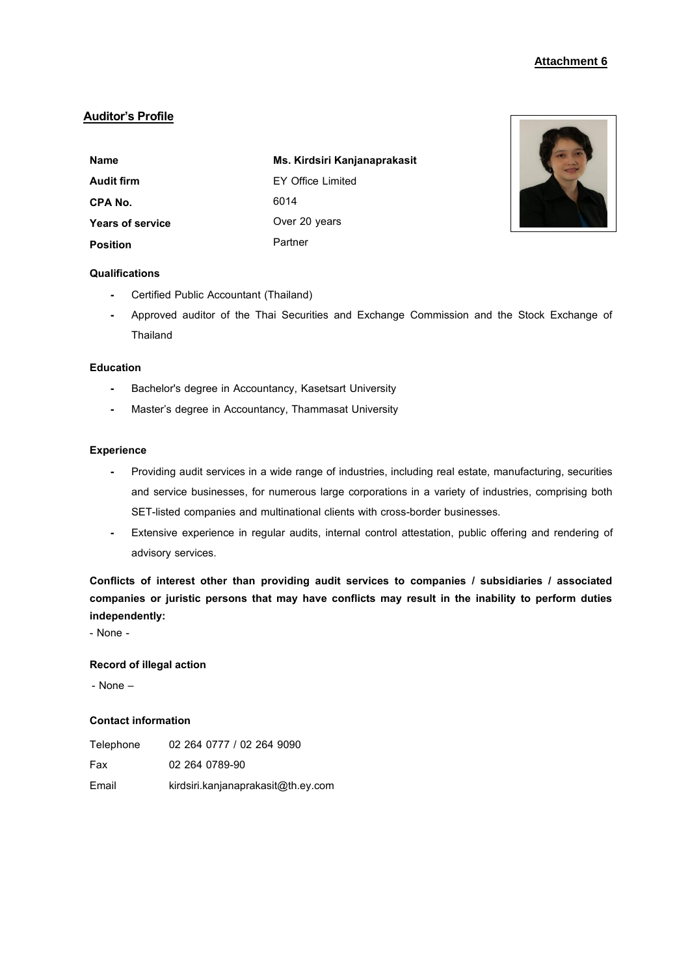# **Auditor's Profile**

| Name                    | Ms. Kirdsiri Kanjanaprakasit |
|-------------------------|------------------------------|
| Audit firm              | EY Office Limited            |
| CPA No.                 | 6014                         |
| <b>Years of service</b> | Over 20 years                |
| <b>Position</b>         | Partner                      |



# **Qualifications**

- **-** Certified Public Accountant (Thailand)
- **-** Approved auditor of the Thai Securities and Exchange Commission and the Stock Exchange of Thailand

## **Education**

- **-** Bachelor's degree in Accountancy, Kasetsart University
- **-** Master's degree in Accountancy, Thammasat University

## **Experience**

- **-** Providing audit services in a wide range of industries, including real estate, manufacturing, securities and service businesses, for numerous large corporations in a variety of industries, comprising both SET-listed companies and multinational clients with cross-border businesses.
- **-** Extensive experience in regular audits, internal control attestation, public offering and rendering of advisory services.

**Conflicts of interest other than providing audit services to companies / subsidiaries / associated companies or juristic persons that may have conflicts may result in the inability to perform duties independently:**

- None -

# **Record of illegal action**

- None –

| Telephone | 02 264 0777 / 02 264 9090          |
|-----------|------------------------------------|
| Fax       | 02 264 0789-90                     |
| Email     | kirdsiri.kanjanaprakasit@th.ey.com |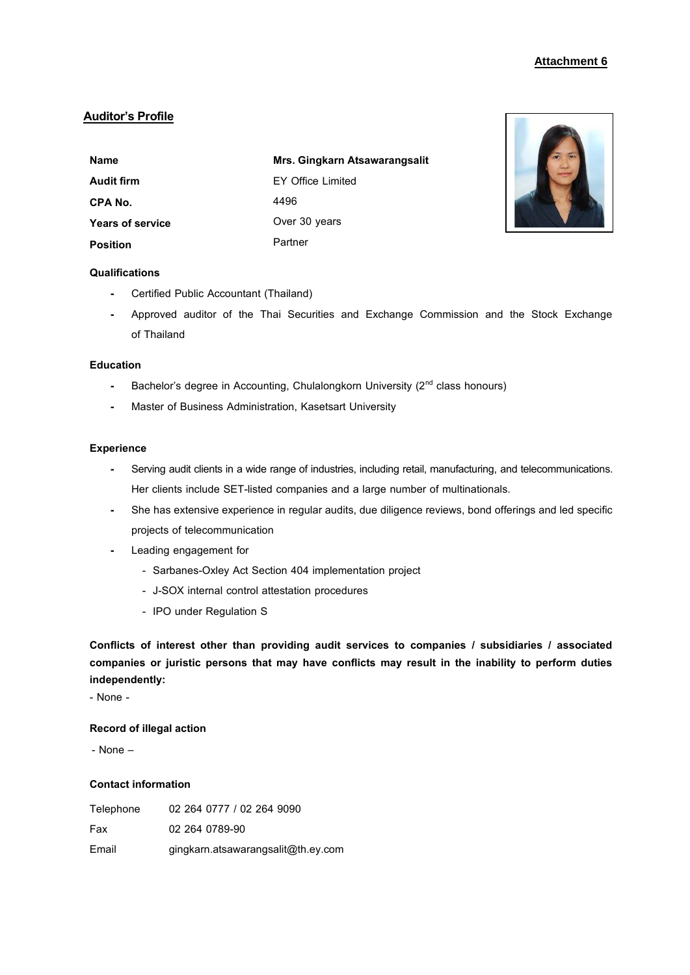# **Auditor's Profile**

| <b>Name</b>             | Mrs. Gingkarn Atsawarangsalit |
|-------------------------|-------------------------------|
| <b>Audit firm</b>       | <b>EY Office Limited</b>      |
| CPA No.                 | 4496                          |
| <b>Years of service</b> | Over 30 years                 |
| <b>Position</b>         | Partner                       |



# **Qualifications**

- **-** Certified Public Accountant (Thailand)
- **-** Approved auditor of the Thai Securities and Exchange Commission and the Stock Exchange of Thailand

# **Education**

- **-** Bachelor's degree in Accounting, Chulalongkorn University (2<sup>nd</sup> class honours)
- **-** Master of Business Administration, Kasetsart University

### **Experience**

- **-** Serving audit clients in a wide range of industries, including retail, manufacturing, and telecommunications. Her clients include SET-listed companies and a large number of multinationals.
- **-** She has extensive experience in regular audits, due diligence reviews, bond offerings and led specific projects of telecommunication
- **-** Leading engagement for
	- Sarbanes-Oxley Act Section 404 implementation project
	- J-SOX internal control attestation procedures
	- IPO under Regulation S

**Conflicts of interest other than providing audit services to companies / subsidiaries / associated companies or juristic persons that may have conflicts may result in the inability to perform duties independently:**

- None -

### **Record of illegal action**

- None –

| Telephone | 02 264 0777 / 02 264 9090          |
|-----------|------------------------------------|
| Fax       | 02 264 0789-90                     |
| Email     | gingkarn.atsawarangsalit@th.ey.com |